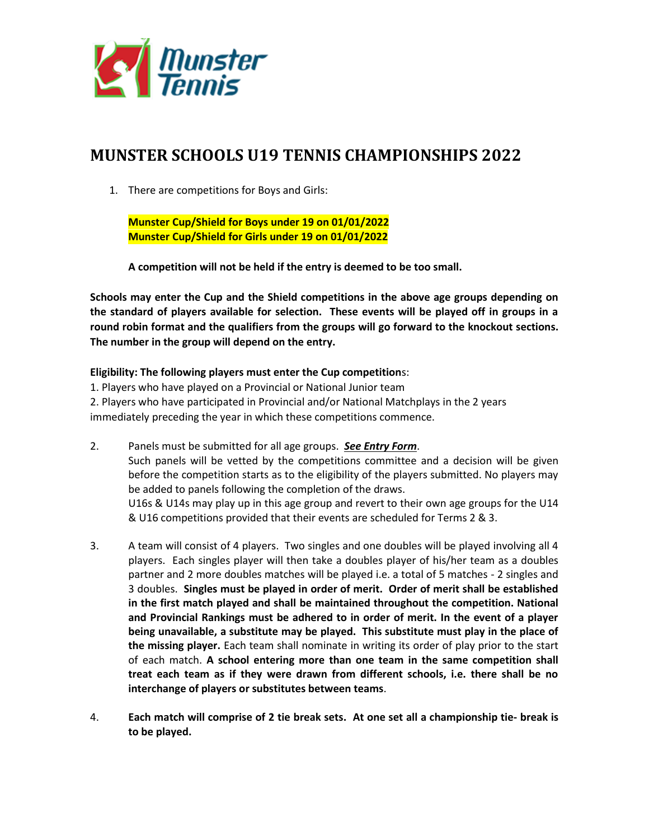

## **MUNSTER SCHOOLS U19 TENNIS CHAMPIONSHIPS 2022**

1. There are competitions for Boys and Girls:

**Munster Cup/Shield for Boys under 19 on 01/01/2022 Munster Cup/Shield for Girls under 19 on 01/01/2022**

**A competition will not be held if the entry is deemed to be too small.**

**Schools may enter the Cup and the Shield competitions in the above age groups depending on the standard of players available for selection. These events will be played off in groups in a round robin format and the qualifiers from the groups will go forward to the knockout sections. The number in the group will depend on the entry.**

## **Eligibility: The following players must enter the Cup competition**s:

1. Players who have played on a Provincial or National Junior team 2. Players who have participated in Provincial and/or National Matchplays in the 2 years immediately preceding the year in which these competitions commence.

- 2. Panels must be submitted for all age groups. *See Entry Form*. Such panels will be vetted by the competitions committee and a decision will be given before the competition starts as to the eligibility of the players submitted. No players may be added to panels following the completion of the draws. U16s & U14s may play up in this age group and revert to their own age groups for the U14 & U16 competitions provided that their events are scheduled for Terms 2 & 3.
- 3. A team will consist of 4 players. Two singles and one doubles will be played involving all 4 players. Each singles player will then take a doubles player of his/her team as a doubles partner and 2 more doubles matches will be played i.e. a total of 5 matches - 2 singles and 3 doubles. **Singles must be played in order of merit. Order of merit shall be established in the first match played and shall be maintained throughout the competition. National and Provincial Rankings must be adhered to in order of merit. In the event of a player being unavailable, a substitute may be played. This substitute must play in the place of the missing player.** Each team shall nominate in writing its order of play prior to the start of each match. **A school entering more than one team in the same competition shall treat each team as if they were drawn from different schools, i.e. there shall be no interchange of players or substitutes between teams**.
- 4. **Each match will comprise of 2 tie break sets. At one set all a championship tie- break is to be played.**